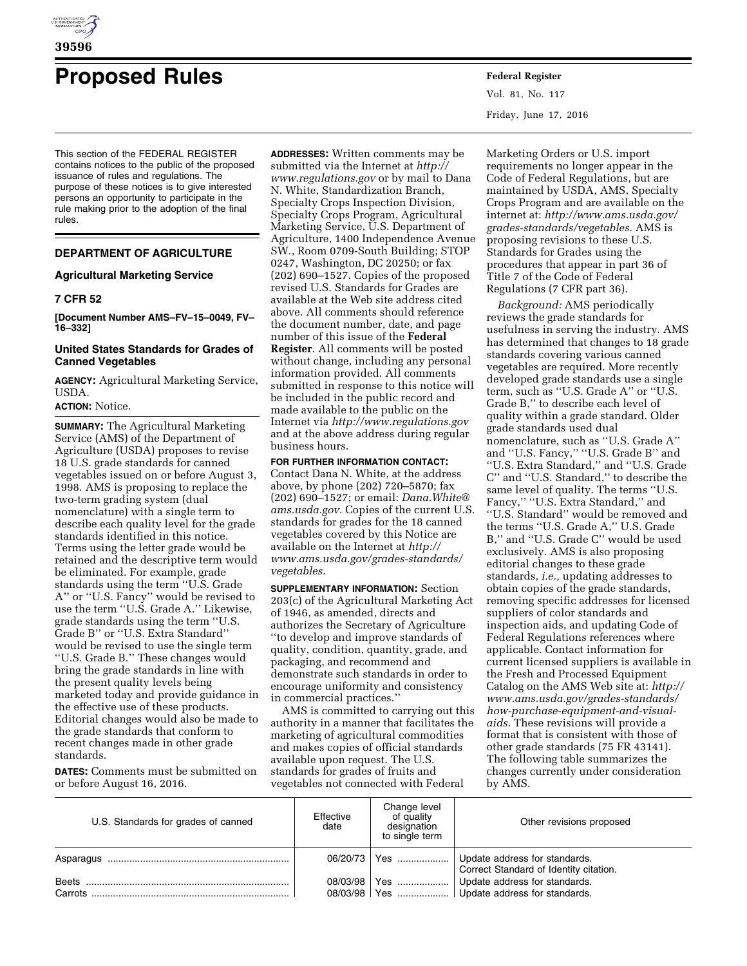

# **Proposed Rules Federal Register**

This section of the FEDERAL REGISTER contains notices to the public of the proposed issuance of rules and regulations. The purpose of these notices is to give interested persons an opportunity to participate in the rule making prior to the adoption of the final rules.

## **DEPARTMENT OF AGRICULTURE**

## **Agricultural Marketing Service**

## **7 CFR 52**

**[Document Number AMS–FV–15–0049, FV– 16–332]** 

## **United States Standards for Grades of Canned Vegetables**

**AGENCY:** Agricultural Marketing Service, USDA.

## **ACTION:** Notice.

**SUMMARY:** The Agricultural Marketing Service (AMS) of the Department of Agriculture (USDA) proposes to revise 18 U.S. grade standards for canned vegetables issued on or before August 3, 1998. AMS is proposing to replace the two-term grading system (dual nomenclature) with a single term to describe each quality level for the grade standards identified in this notice. Terms using the letter grade would be retained and the descriptive term would be eliminated. For example, grade standards using the term ''U.S. Grade A'' or ''U.S. Fancy'' would be revised to use the term ''U.S. Grade A.'' Likewise, grade standards using the term ''U.S. Grade B'' or ''U.S. Extra Standard'' would be revised to use the single term ''U.S. Grade B.'' These changes would bring the grade standards in line with the present quality levels being marketed today and provide guidance in the effective use of these products. Editorial changes would also be made to the grade standards that conform to recent changes made in other grade standards.

**DATES:** Comments must be submitted on or before August 16, 2016.

**ADDRESSES:** Written comments may be submitted via the Internet at *[http://](http://www.regulations.gov) [www.regulations.gov](http://www.regulations.gov)* or by mail to Dana N. White, Standardization Branch, Specialty Crops Inspection Division, Specialty Crops Program, Agricultural Marketing Service, U.S. Department of Agriculture, 1400 Independence Avenue SW., Room 0709-South Building; STOP 0247, Washington, DC 20250; or fax (202) 690–1527. Copies of the proposed revised U.S. Standards for Grades are available at the Web site address cited above. All comments should reference the document number, date, and page number of this issue of the **Federal Register**. All comments will be posted without change, including any personal information provided. All comments submitted in response to this notice will be included in the public record and made available to the public on the Internet via *<http://www.regulations.gov>*  and at the above address during regular business hours.

**FOR FURTHER INFORMATION CONTACT:**  Contact Dana N. White, at the address above, by phone (202) 720–5870; fax (202) 690–1527; or email: *[Dana.White@](mailto:Dana.White@ams.usda.gov) [ams.usda.gov.](mailto:Dana.White@ams.usda.gov)* Copies of the current U.S. standards for grades for the 18 canned vegetables covered by this Notice are available on the Internet at *[http://](http://www.ams.usda.gov/grades-standards/vegetables) [www.ams.usda.gov/grades-standards/](http://www.ams.usda.gov/grades-standards/vegetables) [vegetables.](http://www.ams.usda.gov/grades-standards/vegetables)* 

**SUPPLEMENTARY INFORMATION:** Section 203(c) of the Agricultural Marketing Act of 1946, as amended, directs and authorizes the Secretary of Agriculture ''to develop and improve standards of quality, condition, quantity, grade, and packaging, and recommend and demonstrate such standards in order to encourage uniformity and consistency in commercial practices.''

AMS is committed to carrying out this authority in a manner that facilitates the marketing of agricultural commodities and makes copies of official standards available upon request. The U.S. standards for grades of fruits and vegetables not connected with Federal

Vol. 81, No. 117 Friday, June 17, 2016

Marketing Orders or U.S. import requirements no longer appear in the Code of Federal Regulations, but are maintained by USDA, AMS, Specialty Crops Program and are available on the internet at: *[http://www.ams.usda.gov/](http://www.ams.usda.gov/grades-standards/vegetables) [grades-standards/vegetables.](http://www.ams.usda.gov/grades-standards/vegetables)* AMS is proposing revisions to these U.S. Standards for Grades using the procedures that appear in part 36 of Title 7 of the Code of Federal Regulations (7 CFR part 36).

*Background:* AMS periodically reviews the grade standards for usefulness in serving the industry. AMS has determined that changes to 18 grade standards covering various canned vegetables are required. More recently developed grade standards use a single term, such as ''U.S. Grade A'' or ''U.S. Grade B,'' to describe each level of quality within a grade standard. Older grade standards used dual nomenclature, such as ''U.S. Grade A'' and ''U.S. Fancy,'' ''U.S. Grade B'' and ''U.S. Extra Standard,'' and ''U.S. Grade C'' and ''U.S. Standard,'' to describe the same level of quality. The terms ''U.S. Fancy,'' ''U.S. Extra Standard,'' and ''U.S. Standard'' would be removed and the terms ''U.S. Grade A,'' U.S. Grade B,'' and ''U.S. Grade C'' would be used exclusively. AMS is also proposing editorial changes to these grade standards, *i.e.,* updating addresses to obtain copies of the grade standards, removing specific addresses for licensed suppliers of color standards and inspection aids, and updating Code of Federal Regulations references where applicable. Contact information for current licensed suppliers is available in the Fresh and Processed Equipment Catalog on the AMS Web site at: *[http://](http://www.ams.usda.gov/grades-standards/how-purchase-equipment-and-visual-aids)  [www.ams.usda.gov/grades-standards/](http://www.ams.usda.gov/grades-standards/how-purchase-equipment-and-visual-aids) [how-purchase-equipment-and-visual](http://www.ams.usda.gov/grades-standards/how-purchase-equipment-and-visual-aids)[aids.](http://www.ams.usda.gov/grades-standards/how-purchase-equipment-and-visual-aids)* These revisions will provide a format that is consistent with those of other grade standards (75 FR 43141). The following table summarizes the changes currently under consideration by AMS.

| U.S. Standards for grades of canned | Effective<br>date | Change level<br>of quality<br>designation<br>to single term | Other revisions proposed                                                |
|-------------------------------------|-------------------|-------------------------------------------------------------|-------------------------------------------------------------------------|
|                                     | 06/20/73          | Yes                                                         | Update address for standards.<br>Correct Standard of Identity citation. |
| Beets                               | 08/03/98          | Yes                                                         | Update address for standards.                                           |
| Carrots                             |                   |                                                             | 08/03/98   Yes    Update address for standards.                         |